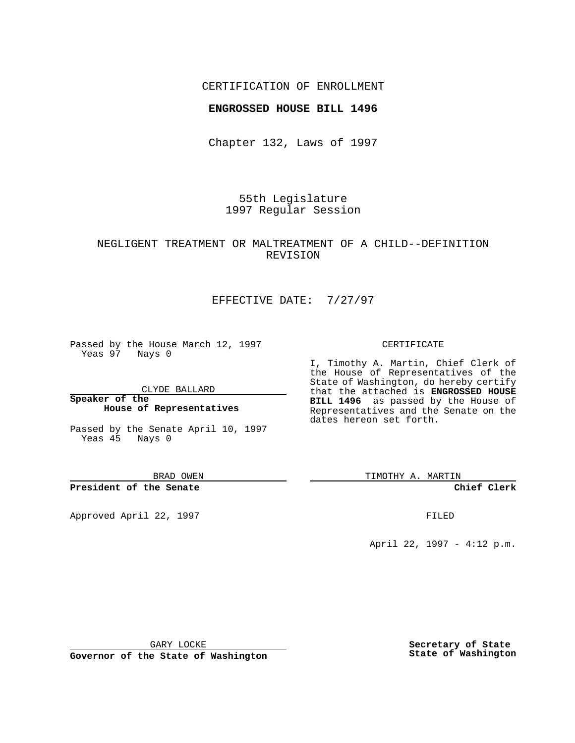### CERTIFICATION OF ENROLLMENT

### **ENGROSSED HOUSE BILL 1496**

Chapter 132, Laws of 1997

55th Legislature 1997 Regular Session

## NEGLIGENT TREATMENT OR MALTREATMENT OF A CHILD--DEFINITION REVISION

# EFFECTIVE DATE: 7/27/97

Passed by the House March 12, 1997 Yeas 97 Nays 0

CLYDE BALLARD

**Speaker of the House of Representatives**

Passed by the Senate April 10, 1997 Yeas 45 Nays 0

BRAD OWEN

**President of the Senate**

Approved April 22, 1997 **FILED** 

#### CERTIFICATE

I, Timothy A. Martin, Chief Clerk of the House of Representatives of the State of Washington, do hereby certify that the attached is **ENGROSSED HOUSE BILL 1496** as passed by the House of Representatives and the Senate on the dates hereon set forth.

TIMOTHY A. MARTIN

**Chief Clerk**

April 22, 1997 - 4:12 p.m.

GARY LOCKE

**Governor of the State of Washington**

**Secretary of State State of Washington**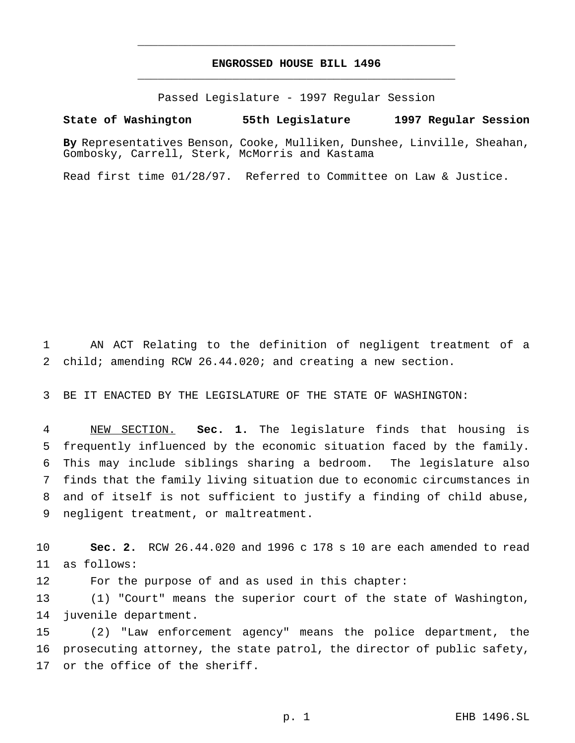# **ENGROSSED HOUSE BILL 1496** \_\_\_\_\_\_\_\_\_\_\_\_\_\_\_\_\_\_\_\_\_\_\_\_\_\_\_\_\_\_\_\_\_\_\_\_\_\_\_\_\_\_\_\_\_\_\_

\_\_\_\_\_\_\_\_\_\_\_\_\_\_\_\_\_\_\_\_\_\_\_\_\_\_\_\_\_\_\_\_\_\_\_\_\_\_\_\_\_\_\_\_\_\_\_

Passed Legislature - 1997 Regular Session

#### **State of Washington 55th Legislature 1997 Regular Session**

**By** Representatives Benson, Cooke, Mulliken, Dunshee, Linville, Sheahan, Gombosky, Carrell, Sterk, McMorris and Kastama

Read first time 01/28/97. Referred to Committee on Law & Justice.

 AN ACT Relating to the definition of negligent treatment of a child; amending RCW 26.44.020; and creating a new section.

BE IT ENACTED BY THE LEGISLATURE OF THE STATE OF WASHINGTON:

 NEW SECTION. **Sec. 1.** The legislature finds that housing is frequently influenced by the economic situation faced by the family. This may include siblings sharing a bedroom. The legislature also finds that the family living situation due to economic circumstances in and of itself is not sufficient to justify a finding of child abuse, negligent treatment, or maltreatment.

 **Sec. 2.** RCW 26.44.020 and 1996 c 178 s 10 are each amended to read as follows:

For the purpose of and as used in this chapter:

 (1) "Court" means the superior court of the state of Washington, juvenile department.

 (2) "Law enforcement agency" means the police department, the prosecuting attorney, the state patrol, the director of public safety, or the office of the sheriff.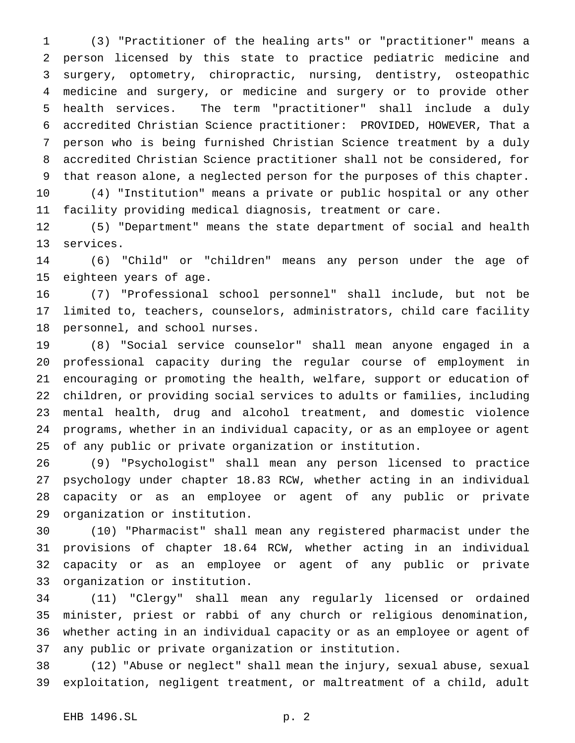(3) "Practitioner of the healing arts" or "practitioner" means a person licensed by this state to practice pediatric medicine and surgery, optometry, chiropractic, nursing, dentistry, osteopathic medicine and surgery, or medicine and surgery or to provide other health services. The term "practitioner" shall include a duly accredited Christian Science practitioner: PROVIDED, HOWEVER, That a person who is being furnished Christian Science treatment by a duly accredited Christian Science practitioner shall not be considered, for that reason alone, a neglected person for the purposes of this chapter. (4) "Institution" means a private or public hospital or any other

facility providing medical diagnosis, treatment or care.

 (5) "Department" means the state department of social and health services.

 (6) "Child" or "children" means any person under the age of eighteen years of age.

 (7) "Professional school personnel" shall include, but not be limited to, teachers, counselors, administrators, child care facility personnel, and school nurses.

 (8) "Social service counselor" shall mean anyone engaged in a professional capacity during the regular course of employment in encouraging or promoting the health, welfare, support or education of children, or providing social services to adults or families, including mental health, drug and alcohol treatment, and domestic violence programs, whether in an individual capacity, or as an employee or agent of any public or private organization or institution.

 (9) "Psychologist" shall mean any person licensed to practice psychology under chapter 18.83 RCW, whether acting in an individual capacity or as an employee or agent of any public or private organization or institution.

 (10) "Pharmacist" shall mean any registered pharmacist under the provisions of chapter 18.64 RCW, whether acting in an individual capacity or as an employee or agent of any public or private organization or institution.

 (11) "Clergy" shall mean any regularly licensed or ordained minister, priest or rabbi of any church or religious denomination, whether acting in an individual capacity or as an employee or agent of any public or private organization or institution.

 (12) "Abuse or neglect" shall mean the injury, sexual abuse, sexual exploitation, negligent treatment, or maltreatment of a child, adult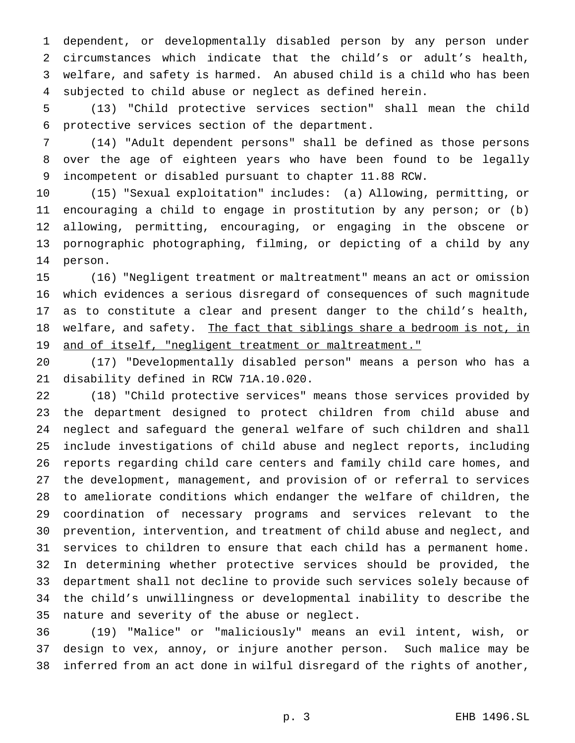dependent, or developmentally disabled person by any person under circumstances which indicate that the child's or adult's health, welfare, and safety is harmed. An abused child is a child who has been subjected to child abuse or neglect as defined herein.

 (13) "Child protective services section" shall mean the child protective services section of the department.

 (14) "Adult dependent persons" shall be defined as those persons over the age of eighteen years who have been found to be legally incompetent or disabled pursuant to chapter 11.88 RCW.

 (15) "Sexual exploitation" includes: (a) Allowing, permitting, or encouraging a child to engage in prostitution by any person; or (b) allowing, permitting, encouraging, or engaging in the obscene or pornographic photographing, filming, or depicting of a child by any person.

 (16) "Negligent treatment or maltreatment" means an act or omission which evidences a serious disregard of consequences of such magnitude as to constitute a clear and present danger to the child's health, 18 welfare, and safety. The fact that siblings share a bedroom is not, in 19 and of itself, "negligent treatment or maltreatment."

 (17) "Developmentally disabled person" means a person who has a disability defined in RCW 71A.10.020.

 (18) "Child protective services" means those services provided by the department designed to protect children from child abuse and neglect and safeguard the general welfare of such children and shall include investigations of child abuse and neglect reports, including reports regarding child care centers and family child care homes, and the development, management, and provision of or referral to services to ameliorate conditions which endanger the welfare of children, the coordination of necessary programs and services relevant to the prevention, intervention, and treatment of child abuse and neglect, and services to children to ensure that each child has a permanent home. In determining whether protective services should be provided, the department shall not decline to provide such services solely because of the child's unwillingness or developmental inability to describe the nature and severity of the abuse or neglect.

 (19) "Malice" or "maliciously" means an evil intent, wish, or design to vex, annoy, or injure another person. Such malice may be inferred from an act done in wilful disregard of the rights of another,